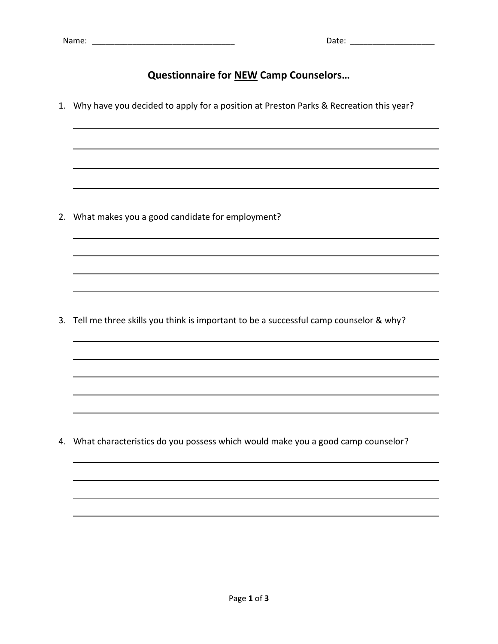## **Questionnaire for NEW Camp Counselors…**

1. Why have you decided to apply for a position at Preston Parks & Recreation this year?

2. What makes you a good candidate for employment?

3. Tell me three skills you think is important to be a successful camp counselor & why?

4. What characteristics do you possess which would make you a good camp counselor?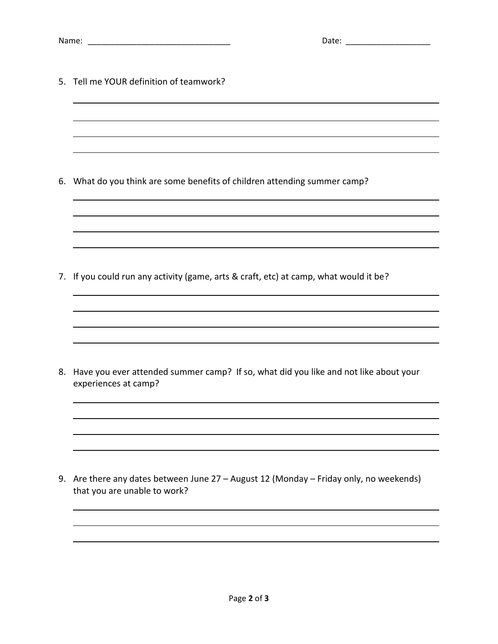| Name | Udu.<br>. |  |
|------|-----------|--|
|      |           |  |

5. Tell me YOUR definition of teamwork?

6. What do you think are some benefits of children attending summer camp?

7. If you could run any activity (game, arts & craft, etc) at camp, what would it be?

8. Have you ever attended summer camp? If so, what did you like and not like about your experiences at camp?

9. Are there any dates between June 27 – August 12 (Monday – Friday only, no weekends) that you are unable to work?